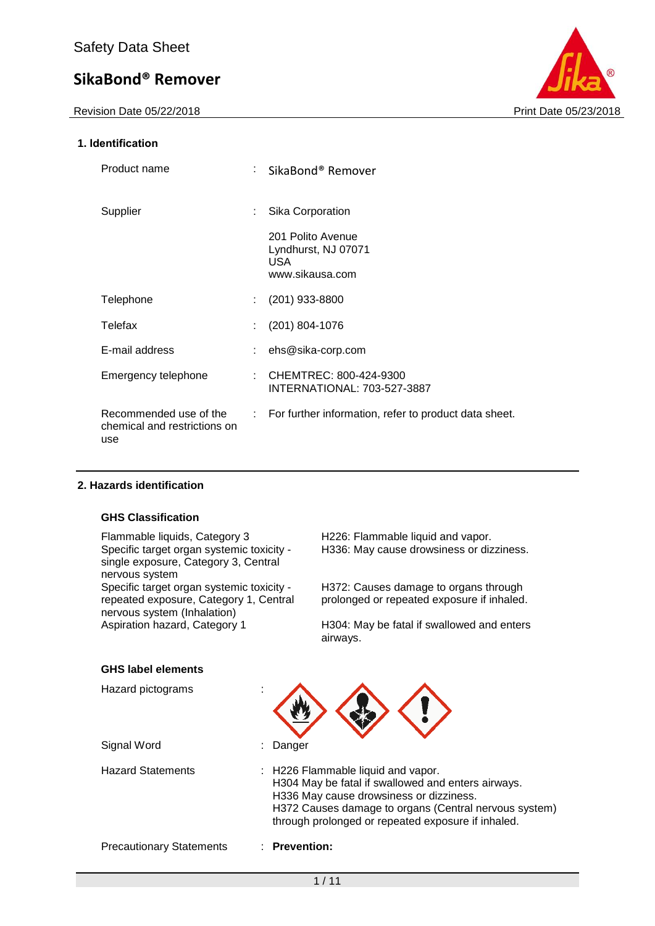Revision Date 05/22/2018

## **1. Identification**

| Print Date 05/23/2018 |
|-----------------------|

| Product name                                                  | : SikaBond® Remover                                                 |
|---------------------------------------------------------------|---------------------------------------------------------------------|
| Supplier                                                      | Sika Corporation                                                    |
|                                                               | 201 Polito Avenue<br>Lyndhurst, NJ 07071<br>USA.<br>www.sikausa.com |
| Telephone                                                     | (201) 933-8800                                                      |
| Telefax                                                       | $(201) 804 - 1076$                                                  |
| E-mail address                                                | ehs@sika-corp.com                                                   |
| Emergency telephone                                           | : CHEMTREC: 800-424-9300<br><b>INTERNATIONAL: 703-527-3887</b>      |
| Recommended use of the<br>chemical and restrictions on<br>use | : For further information, refer to product data sheet.             |

## **2. Hazards identification**

## **GHS Classification**

Flammable liquids, Category 3 H226: Flammable liquid and vapor. Specific target organ systemic toxicity single exposure, Category 3, Central nervous system Specific target organ systemic toxicity repeated exposure, Category 1, Central nervous system (Inhalation)<br>Aspiration hazard, Category 1

H336: May cause drowsiness or dizziness.

H372: Causes damage to organs through prolonged or repeated exposure if inhaled.

H304: May be fatal if swallowed and enters airways.

## **GHS label elements**

| Hazard pictograms               |                                                                                                                                                                                                                                                    |  |  |  |
|---------------------------------|----------------------------------------------------------------------------------------------------------------------------------------------------------------------------------------------------------------------------------------------------|--|--|--|
| Signal Word                     | Danger                                                                                                                                                                                                                                             |  |  |  |
| <b>Hazard Statements</b>        | : H226 Flammable liquid and vapor.<br>H304 May be fatal if swallowed and enters airways.<br>H336 May cause drowsiness or dizziness.<br>H372 Causes damage to organs (Central nervous system)<br>through prolonged or repeated exposure if inhaled. |  |  |  |
| <b>Precautionary Statements</b> | <b>Prevention:</b>                                                                                                                                                                                                                                 |  |  |  |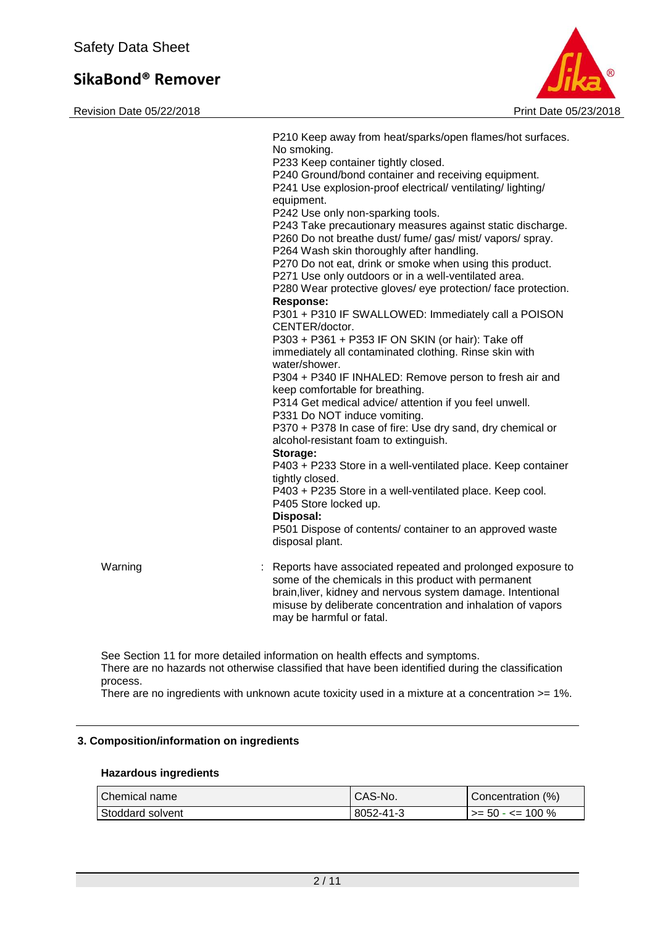Revision Date 05/22/2018 Print Date 05/23/2018



|         | P210 Keep away from heat/sparks/open flames/hot surfaces.<br>No smoking.<br>P233 Keep container tightly closed.<br>P240 Ground/bond container and receiving equipment.<br>P241 Use explosion-proof electrical/ventilating/lighting/<br>equipment.<br>P242 Use only non-sparking tools.<br>P243 Take precautionary measures against static discharge.<br>P260 Do not breathe dust/ fume/ gas/ mist/ vapors/ spray.<br>P264 Wash skin thoroughly after handling.<br>P270 Do not eat, drink or smoke when using this product.<br>P271 Use only outdoors or in a well-ventilated area.<br>P280 Wear protective gloves/ eye protection/ face protection.<br><b>Response:</b><br>P301 + P310 IF SWALLOWED: Immediately call a POISON<br>CENTER/doctor.<br>P303 + P361 + P353 IF ON SKIN (or hair): Take off<br>immediately all contaminated clothing. Rinse skin with<br>water/shower.<br>P304 + P340 IF INHALED: Remove person to fresh air and<br>keep comfortable for breathing.<br>P314 Get medical advice/ attention if you feel unwell.<br>P331 Do NOT induce vomiting.<br>P370 + P378 In case of fire: Use dry sand, dry chemical or<br>alcohol-resistant foam to extinguish.<br>Storage:<br>P403 + P233 Store in a well-ventilated place. Keep container<br>tightly closed.<br>P403 + P235 Store in a well-ventilated place. Keep cool.<br>P405 Store locked up.<br>Disposal:<br>P501 Dispose of contents/ container to an approved waste<br>disposal plant. |
|---------|----------------------------------------------------------------------------------------------------------------------------------------------------------------------------------------------------------------------------------------------------------------------------------------------------------------------------------------------------------------------------------------------------------------------------------------------------------------------------------------------------------------------------------------------------------------------------------------------------------------------------------------------------------------------------------------------------------------------------------------------------------------------------------------------------------------------------------------------------------------------------------------------------------------------------------------------------------------------------------------------------------------------------------------------------------------------------------------------------------------------------------------------------------------------------------------------------------------------------------------------------------------------------------------------------------------------------------------------------------------------------------------------------------------------------------------------------------------|
| Warning | Reports have associated repeated and prolonged exposure to<br>some of the chemicals in this product with permanent<br>brain, liver, kidney and nervous system damage. Intentional<br>misuse by deliberate concentration and inhalation of vapors<br>may be harmful or fatal.                                                                                                                                                                                                                                                                                                                                                                                                                                                                                                                                                                                                                                                                                                                                                                                                                                                                                                                                                                                                                                                                                                                                                                                   |

See Section 11 for more detailed information on health effects and symptoms. There are no hazards not otherwise classified that have been identified during the classification process.

There are no ingredients with unknown acute toxicity used in a mixture at a concentration >= 1%.

## **3. Composition/information on ingredients**

## **Hazardous ingredients**

| l Chemical name  | CAS-No.   | Concentration (%)      |
|------------------|-----------|------------------------|
| Stoddard solvent | 8052-41-3 | $1 > 50 - 50 - 100 \%$ |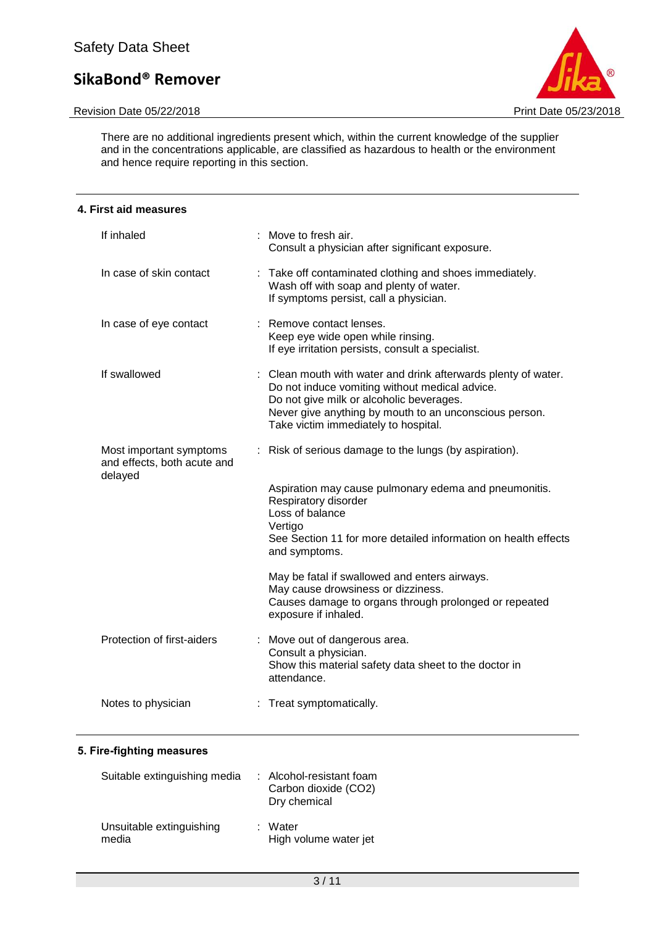## Revision Date 05/22/2018 **Print Date 05/23/2018**



There are no additional ingredients present which, within the current knowledge of the supplier and in the concentrations applicable, are classified as hazardous to health or the environment and hence require reporting in this section.

| 4. First aid measures                                             |                                                                                                                                                                                                                                                                |  |  |  |
|-------------------------------------------------------------------|----------------------------------------------------------------------------------------------------------------------------------------------------------------------------------------------------------------------------------------------------------------|--|--|--|
| If inhaled                                                        | : Move to fresh air.<br>Consult a physician after significant exposure.                                                                                                                                                                                        |  |  |  |
| In case of skin contact                                           | : Take off contaminated clothing and shoes immediately.<br>Wash off with soap and plenty of water.<br>If symptoms persist, call a physician.                                                                                                                   |  |  |  |
| In case of eye contact                                            | : Remove contact lenses.<br>Keep eye wide open while rinsing.<br>If eye irritation persists, consult a specialist.                                                                                                                                             |  |  |  |
| If swallowed                                                      | : Clean mouth with water and drink afterwards plenty of water.<br>Do not induce vomiting without medical advice.<br>Do not give milk or alcoholic beverages.<br>Never give anything by mouth to an unconscious person.<br>Take victim immediately to hospital. |  |  |  |
| Most important symptoms<br>and effects, both acute and<br>delayed | : Risk of serious damage to the lungs (by aspiration).                                                                                                                                                                                                         |  |  |  |
|                                                                   | Aspiration may cause pulmonary edema and pneumonitis.<br>Respiratory disorder<br>Loss of balance<br>Vertigo                                                                                                                                                    |  |  |  |
|                                                                   | See Section 11 for more detailed information on health effects<br>and symptoms.                                                                                                                                                                                |  |  |  |
|                                                                   | May be fatal if swallowed and enters airways.<br>May cause drowsiness or dizziness.<br>Causes damage to organs through prolonged or repeated<br>exposure if inhaled.                                                                                           |  |  |  |
| Protection of first-aiders                                        | : Move out of dangerous area.<br>Consult a physician.<br>Show this material safety data sheet to the doctor in<br>attendance.                                                                                                                                  |  |  |  |
| Notes to physician                                                | : Treat symptomatically.                                                                                                                                                                                                                                       |  |  |  |

## **5. Fire-fighting measures**

| Suitable extinguishing media      | : Alcohol-resistant foam<br>Carbon dioxide (CO2)<br>Dry chemical |
|-----------------------------------|------------------------------------------------------------------|
| Unsuitable extinguishing<br>media | : Water<br>High volume water jet                                 |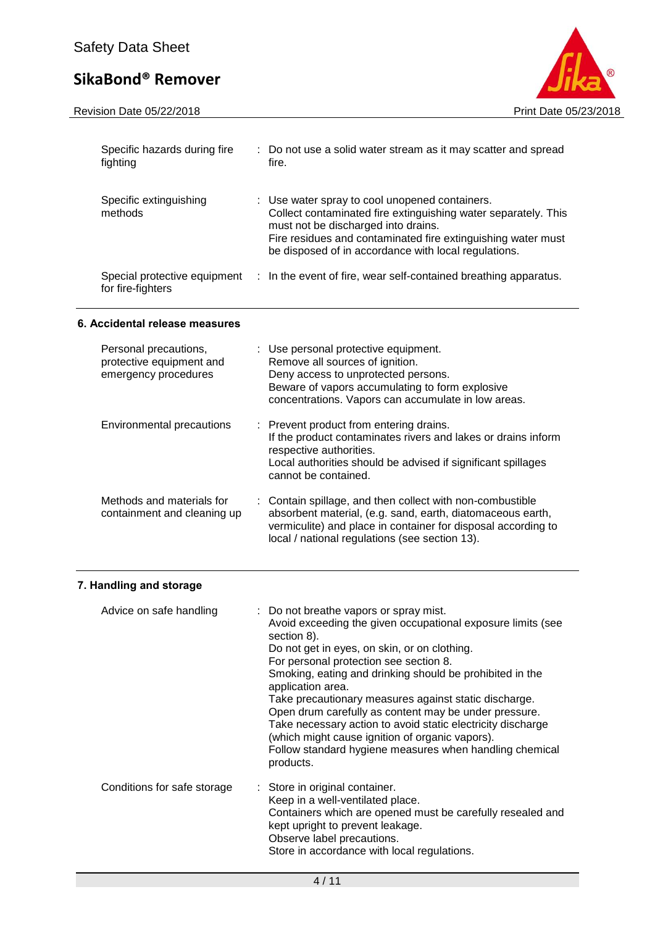

| Specific hazards during fire<br>fighting                                  | t. | Do not use a solid water stream as it may scatter and spread<br>fire.                                                                                                                                                                                                           |
|---------------------------------------------------------------------------|----|---------------------------------------------------------------------------------------------------------------------------------------------------------------------------------------------------------------------------------------------------------------------------------|
| Specific extinguishing<br>methods                                         |    | : Use water spray to cool unopened containers.<br>Collect contaminated fire extinguishing water separately. This<br>must not be discharged into drains.<br>Fire residues and contaminated fire extinguishing water must<br>be disposed of in accordance with local regulations. |
| Special protective equipment<br>for fire-fighters                         |    | : In the event of fire, wear self-contained breathing apparatus.                                                                                                                                                                                                                |
| 6. Accidental release measures                                            |    |                                                                                                                                                                                                                                                                                 |
| Personal precautions,<br>protective equipment and<br>emergency procedures |    | : Use personal protective equipment.<br>Remove all sources of ignition.<br>Deny access to unprotected persons.<br>Beware of vapors accumulating to form explosive<br>concentrations. Vapors can accumulate in low areas.                                                        |
| <b>Environmental precautions</b>                                          |    | : Prevent product from entering drains.<br>If the product contaminates rivers and lakes or drains inform<br>respective authorities.<br>Local authorities should be advised if significant spillages<br>cannot be contained.                                                     |
| Methods and materials for<br>containment and cleaning up                  |    | Contain spillage, and then collect with non-combustible<br>absorbent material, (e.g. sand, earth, diatomaceous earth,<br>vermiculite) and place in container for disposal according to<br>local / national regulations (see section 13).                                        |

## **7. Handling and storage**

| Advice on safe handling     | : Do not breathe vapors or spray mist.<br>Avoid exceeding the given occupational exposure limits (see<br>section 8).<br>Do not get in eyes, on skin, or on clothing.<br>For personal protection see section 8.<br>Smoking, eating and drinking should be prohibited in the<br>application area.<br>Take precautionary measures against static discharge.<br>Open drum carefully as content may be under pressure.<br>Take necessary action to avoid static electricity discharge<br>(which might cause ignition of organic vapors).<br>Follow standard hygiene measures when handling chemical<br>products. |
|-----------------------------|-------------------------------------------------------------------------------------------------------------------------------------------------------------------------------------------------------------------------------------------------------------------------------------------------------------------------------------------------------------------------------------------------------------------------------------------------------------------------------------------------------------------------------------------------------------------------------------------------------------|
| Conditions for safe storage | : Store in original container.<br>Keep in a well-ventilated place.<br>Containers which are opened must be carefully resealed and<br>kept upright to prevent leakage.<br>Observe label precautions.<br>Store in accordance with local regulations.                                                                                                                                                                                                                                                                                                                                                           |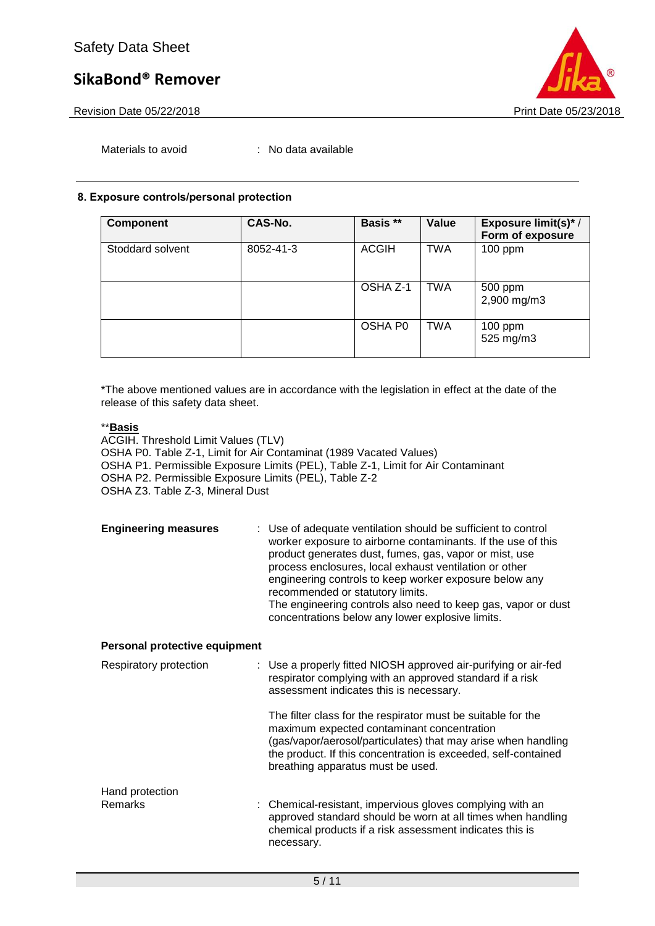



Materials to avoid : No data available

## **8. Exposure controls/personal protection**

| <b>Component</b> | CAS-No.   | Basis **     | Value      | Exposure limit(s)*/<br>Form of exposure |
|------------------|-----------|--------------|------------|-----------------------------------------|
| Stoddard solvent | 8052-41-3 | <b>ACGIH</b> | <b>TWA</b> | $100$ ppm                               |
|                  |           | OSHA Z-1     | <b>TWA</b> | 500 ppm<br>2,900 mg/m3                  |
|                  |           | OSHA P0      | <b>TWA</b> | $100$ ppm<br>525 mg/m3                  |

\*The above mentioned values are in accordance with the legislation in effect at the date of the release of this safety data sheet.

## \*\***Basis**

ACGIH. Threshold Limit Values (TLV) OSHA P0. Table Z-1, Limit for Air Contaminat (1989 Vacated Values) OSHA P1. Permissible Exposure Limits (PEL), Table Z-1, Limit for Air Contaminant OSHA P2. Permissible Exposure Limits (PEL), Table Z-2 OSHA Z3. Table Z-3, Mineral Dust

| <b>Engineering measures</b> | : Use of adequate ventilation should be sufficient to control<br>worker exposure to airborne contaminants. If the use of this<br>product generates dust, fumes, gas, vapor or mist, use<br>process enclosures, local exhaust ventilation or other<br>engineering controls to keep worker exposure below any<br>recommended or statutory limits.<br>The engineering controls also need to keep gas, vapor or dust |
|-----------------------------|------------------------------------------------------------------------------------------------------------------------------------------------------------------------------------------------------------------------------------------------------------------------------------------------------------------------------------------------------------------------------------------------------------------|
|                             | concentrations below any lower explosive limits.                                                                                                                                                                                                                                                                                                                                                                 |

## **Personal protective equipment**

| Respiratory protection     | : Use a properly fitted NIOSH approved air-purifying or air-fed<br>respirator complying with an approved standard if a risk<br>assessment indicates this is necessary.                                                                                                             |
|----------------------------|------------------------------------------------------------------------------------------------------------------------------------------------------------------------------------------------------------------------------------------------------------------------------------|
|                            | The filter class for the respirator must be suitable for the<br>maximum expected contaminant concentration<br>(gas/vapor/aerosol/particulates) that may arise when handling<br>the product. If this concentration is exceeded, self-contained<br>breathing apparatus must be used. |
| Hand protection<br>Remarks | : Chemical-resistant, impervious gloves complying with an<br>approved standard should be worn at all times when handling<br>chemical products if a risk assessment indicates this is<br>necessary.                                                                                 |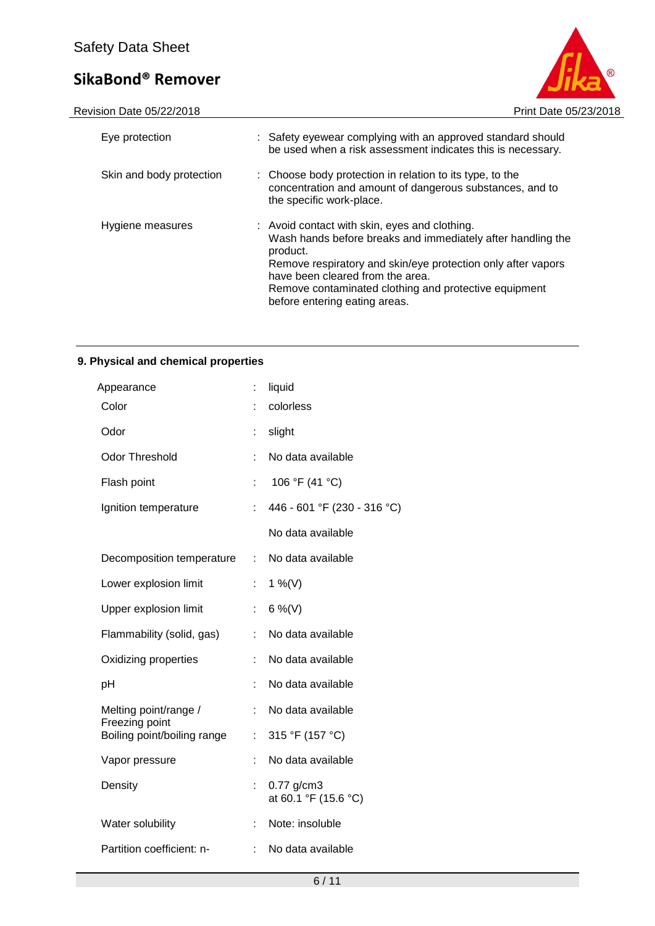

Revision Date 05/22/2018 **Print Date 05/23/2018** 

| Eye protection           | : Safety eyewear complying with an approved standard should<br>be used when a risk assessment indicates this is necessary.                                                                                                                                                                                             |
|--------------------------|------------------------------------------------------------------------------------------------------------------------------------------------------------------------------------------------------------------------------------------------------------------------------------------------------------------------|
| Skin and body protection | : Choose body protection in relation to its type, to the<br>concentration and amount of dangerous substances, and to<br>the specific work-place.                                                                                                                                                                       |
| Hygiene measures         | : Avoid contact with skin, eyes and clothing.<br>Wash hands before breaks and immediately after handling the<br>product.<br>Remove respiratory and skin/eye protection only after vapors<br>have been cleared from the area.<br>Remove contaminated clothing and protective equipment<br>before entering eating areas. |

## **9. Physical and chemical properties**

| Appearance                              | t  | liquid                               |
|-----------------------------------------|----|--------------------------------------|
| Color                                   |    | colorless                            |
| Odor                                    | İ, | slight                               |
| <b>Odor Threshold</b>                   |    | No data available                    |
| Flash point                             |    | 106 °F (41 °C)                       |
| Ignition temperature                    |    | 446 - 601 °F (230 - 316 °C)          |
|                                         |    | No data available                    |
| Decomposition temperature               | ÷. | No data available                    |
| Lower explosion limit                   | t  | 1 %(V)                               |
| Upper explosion limit                   | t  | 6 %(V)                               |
| Flammability (solid, gas)               |    | No data available                    |
| Oxidizing properties                    | t  | No data available                    |
| рH                                      | t  | No data available                    |
| Melting point/range /<br>Freezing point | ÷  | No data available                    |
| Boiling point/boiling range             | ÷  | 315 °F (157 °C)                      |
| Vapor pressure                          |    | No data available                    |
| Density                                 |    | $0.77$ g/cm3<br>at 60.1 °F (15.6 °C) |
| Water solubility                        |    | Note: insoluble                      |
| Partition coefficient: n-               |    | No data available                    |
|                                         |    |                                      |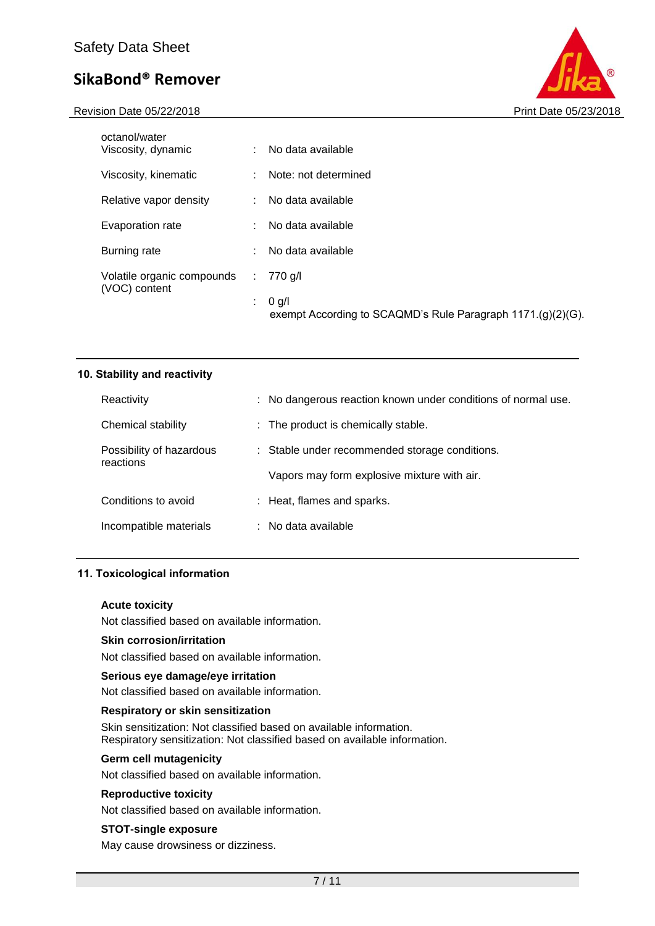Revision Date 05/22/2018 **Print Date 05/22/2018** Print Date 05/23/2018



| octanol/water<br>Viscosity, dynamic         | t. | No data available                                                      |
|---------------------------------------------|----|------------------------------------------------------------------------|
| Viscosity, kinematic                        |    | Note: not determined                                                   |
| Relative vapor density                      |    | No data available                                                      |
| Evaporation rate                            |    | No data available                                                      |
| Burning rate                                | ÷  | No data available                                                      |
| Volatile organic compounds<br>(VOC) content | ÷. | 770 g/l                                                                |
|                                             | ÷. | $0$ g/l<br>exempt According to SCAQMD's Rule Paragraph 1171.(g)(2)(G). |

| 10. Stability and reactivity          |                                                               |
|---------------------------------------|---------------------------------------------------------------|
| Reactivity                            | : No dangerous reaction known under conditions of normal use. |
| Chemical stability                    | $\therefore$ The product is chemically stable.                |
| Possibility of hazardous<br>reactions | : Stable under recommended storage conditions.                |
|                                       | Vapors may form explosive mixture with air.                   |
| Conditions to avoid                   | : Heat, flames and sparks.                                    |
| Incompatible materials                | $:$ No data available                                         |
|                                       |                                                               |

## **11. Toxicological information**

#### **Acute toxicity**

Not classified based on available information.

### **Skin corrosion/irritation**

Not classified based on available information.

#### **Serious eye damage/eye irritation**

Not classified based on available information.

## **Respiratory or skin sensitization**

Skin sensitization: Not classified based on available information. Respiratory sensitization: Not classified based on available information.

### **Germ cell mutagenicity**

Not classified based on available information.

### **Reproductive toxicity**

Not classified based on available information.

## **STOT-single exposure**

May cause drowsiness or dizziness.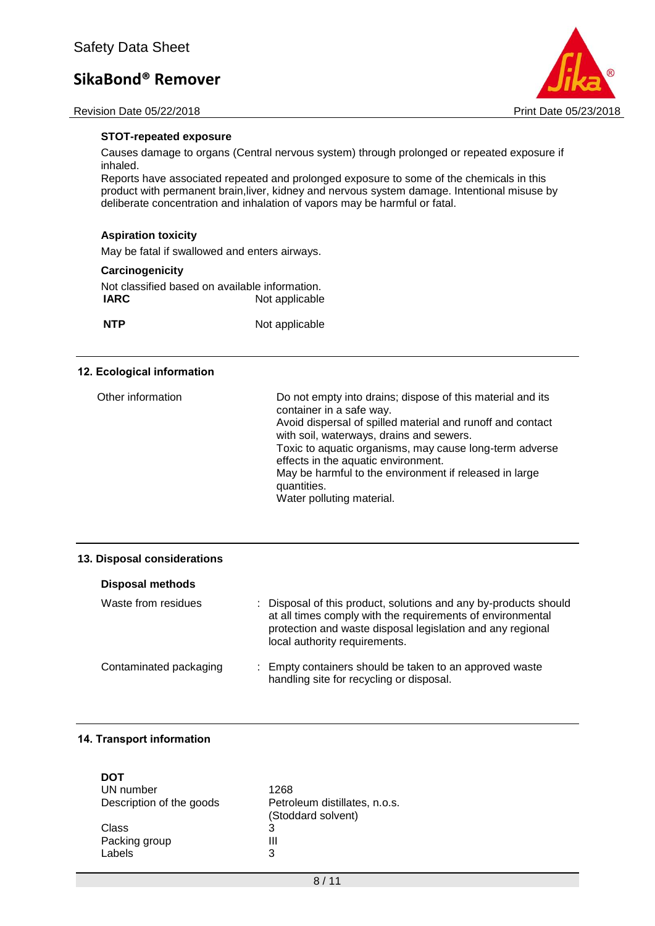



### **STOT-repeated exposure**

Causes damage to organs (Central nervous system) through prolonged or repeated exposure if inhaled.

Reports have associated repeated and prolonged exposure to some of the chemicals in this product with permanent brain,liver, kidney and nervous system damage. Intentional misuse by deliberate concentration and inhalation of vapors may be harmful or fatal.

## **Aspiration toxicity**

May be fatal if swallowed and enters airways.

### **Carcinogenicity**

Not classified based on available information.<br>
IARC Mot applicable **Not applicable** 

**NTP** Not applicable

### **12. Ecological information**

| Other information | Do not empty into drains; dispose of this material and its<br>container in a safe way.<br>Avoid dispersal of spilled material and runoff and contact<br>with soil, waterways, drains and sewers.<br>Toxic to aquatic organisms, may cause long-term adverse<br>effects in the aquatic environment.<br>May be harmful to the environment if released in large<br>quantities.<br>Water polluting material. |
|-------------------|----------------------------------------------------------------------------------------------------------------------------------------------------------------------------------------------------------------------------------------------------------------------------------------------------------------------------------------------------------------------------------------------------------|
|                   |                                                                                                                                                                                                                                                                                                                                                                                                          |

#### **13. Disposal considerations**

| <b>Disposal methods</b> |                                                                                                                                                                                                                               |
|-------------------------|-------------------------------------------------------------------------------------------------------------------------------------------------------------------------------------------------------------------------------|
| Waste from residues     | : Disposal of this product, solutions and any by-products should<br>at all times comply with the requirements of environmental<br>protection and waste disposal legislation and any regional<br>local authority requirements. |
| Contaminated packaging  | : Empty containers should be taken to an approved waste<br>handling site for recycling or disposal.                                                                                                                           |

## **14. Transport information**

| <b>DOT</b>               |                                                     |
|--------------------------|-----------------------------------------------------|
| UN number                | 1268                                                |
| Description of the goods | Petroleum distillates, n.o.s.<br>(Stoddard solvent) |
| Class                    | 3                                                   |
| Packing group            | Ш                                                   |
| Labels                   | 3                                                   |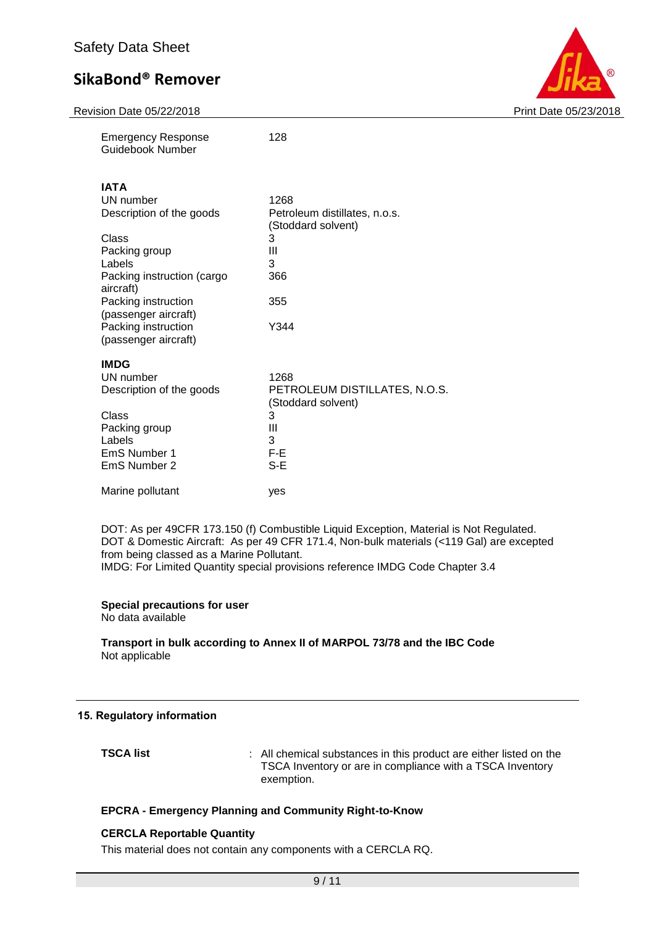|  | <b>Revision Date 05/22/2018</b> |
|--|---------------------------------|
|  |                                 |



| <b>Emergency Response</b><br>Guidebook Number | 128                                                 |
|-----------------------------------------------|-----------------------------------------------------|
| <b>IATA</b>                                   |                                                     |
| UN number                                     | 1268                                                |
| Description of the goods                      | Petroleum distillates, n.o.s.<br>(Stoddard solvent) |
| Class                                         | 3                                                   |
| Packing group                                 | Ш                                                   |
| Labels                                        | 3                                                   |
| Packing instruction (cargo<br>aircraft)       | 366                                                 |
| Packing instruction                           | 355                                                 |
| (passenger aircraft)                          |                                                     |
| Packing instruction                           | Y344                                                |
| (passenger aircraft)                          |                                                     |
| <b>IMDG</b>                                   |                                                     |
| UN number                                     | 1268                                                |
| Description of the goods                      | PETROLEUM DISTILLATES, N.O.S.<br>(Stoddard solvent) |
| Class                                         | 3                                                   |
| Packing group                                 | Ш                                                   |
| Labels                                        | 3                                                   |
| EmS Number 1                                  | $F-E$                                               |
| EmS Number 2                                  | $S-E$                                               |
| Marine pollutant                              | yes                                                 |

DOT: As per 49CFR 173.150 (f) Combustible Liquid Exception, Material is Not Regulated. DOT & Domestic Aircraft: As per 49 CFR 171.4, Non-bulk materials (<119 Gal) are excepted from being classed as a Marine Pollutant. IMDG: For Limited Quantity special provisions reference IMDG Code Chapter 3.4

#### **Special precautions for user** No data available

**Transport in bulk according to Annex II of MARPOL 73/78 and the IBC Code**

Not applicable

## **15. Regulatory information**

**TSCA list EXECA list** : All chemical substances in this product are either listed on the TSCA Inventory or are in compliance with a TSCA Inventory exemption.

## **EPCRA - Emergency Planning and Community Right-to-Know**

## **CERCLA Reportable Quantity**

This material does not contain any components with a CERCLA RQ.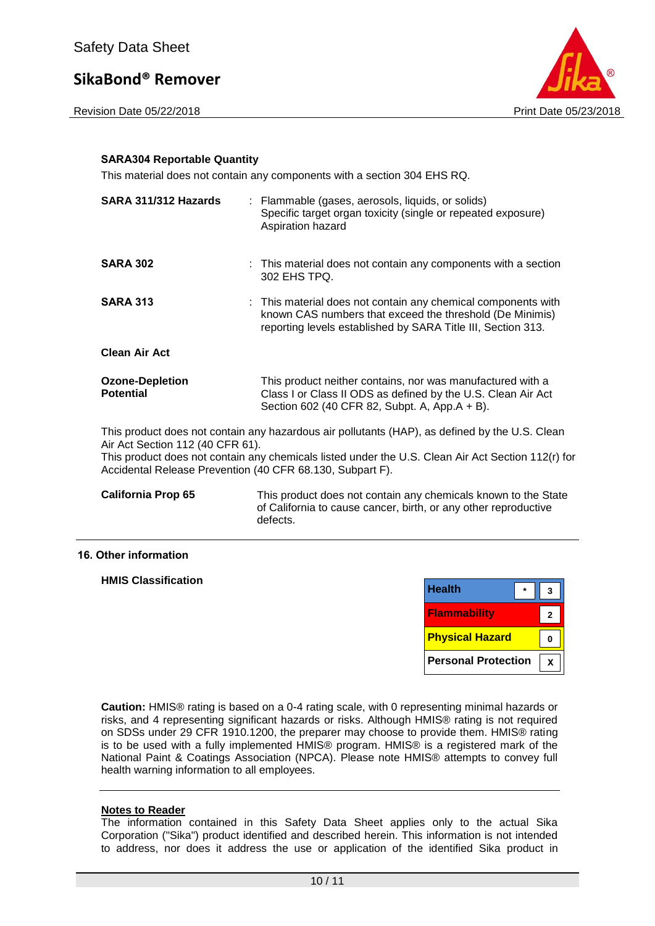Revision Date 05/22/2018 **Print Date 05/23** 



## **SARA304 Reportable Quantity**

This material does not contain any components with a section 304 EHS RQ.

| SARA 311/312 Hazards                                                                          | : Flammable (gases, aerosols, liquids, or solids)<br>Specific target organ toxicity (single or repeated exposure)<br>Aspiration hazard                                                               |
|-----------------------------------------------------------------------------------------------|------------------------------------------------------------------------------------------------------------------------------------------------------------------------------------------------------|
| <b>SARA 302</b>                                                                               | : This material does not contain any components with a section<br>302 EHS TPQ.                                                                                                                       |
| <b>SARA 313</b>                                                                               | : This material does not contain any chemical components with<br>known CAS numbers that exceed the threshold (De Minimis)<br>reporting levels established by SARA Title III, Section 313.            |
| <b>Clean Air Act</b>                                                                          |                                                                                                                                                                                                      |
| <b>Ozone-Depletion</b><br><b>Potential</b>                                                    | This product neither contains, nor was manufactured with a<br>Class I or Class II ODS as defined by the U.S. Clean Air Act<br>Section 602 (40 CFR 82, Subpt. A, App.A + B).                          |
| Air Act Section 112 (40 CFR 61).<br>Accidental Release Prevention (40 CFR 68.130, Subpart F). | This product does not contain any hazardous air pollutants (HAP), as defined by the U.S. Clean<br>This product does not contain any chemicals listed under the U.S. Clean Air Act Section 112(r) for |

**California Prop 65** This product does not contain any chemicals known to the State of California to cause cancer, birth, or any other reproductive defects.

### **16. Other information**

**HMIS Classification**

| <b>Health</b>              |   |
|----------------------------|---|
| <b>Flammability</b>        | 2 |
| <b>Physical Hazard</b>     |   |
| <b>Personal Protection</b> |   |

**Caution:** HMIS® rating is based on a 0-4 rating scale, with 0 representing minimal hazards or risks, and 4 representing significant hazards or risks. Although HMIS® rating is not required on SDSs under 29 CFR 1910.1200, the preparer may choose to provide them. HMIS® rating is to be used with a fully implemented HMIS® program. HMIS® is a registered mark of the National Paint & Coatings Association (NPCA). Please note HMIS® attempts to convey full health warning information to all employees.

### **Notes to Reader**

The information contained in this Safety Data Sheet applies only to the actual Sika Corporation ("Sika") product identified and described herein. This information is not intended to address, nor does it address the use or application of the identified Sika product in